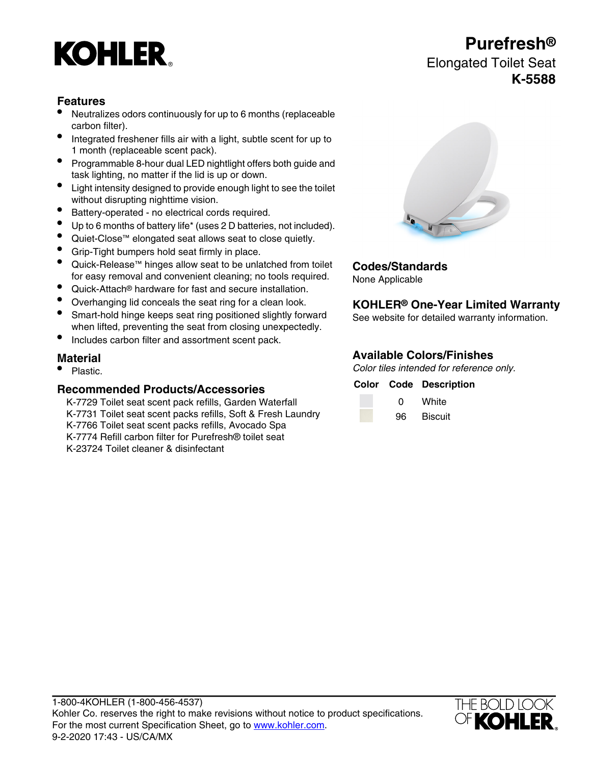# **KOHLER**

## **Features**

- Neutralizes odors continuously for up to 6 months (replaceable carbon filter).
- Integrated freshener fills air with a light, subtle scent for up to 1 month (replaceable scent pack).
- Programmable 8-hour dual LED nightlight offers both guide and task lighting, no matter if the lid is up or down.
- Light intensity designed to provide enough light to see the toilet without disrupting nighttime vision.
- Battery-operated no electrical cords required.
- Up to 6 months of battery life\* (uses 2 D batteries, not included).
- Quiet-Close™ elongated seat allows seat to close quietly.
- Grip-Tight bumpers hold seat firmly in place.
- Quick-Release™ hinges allow seat to be unlatched from toilet for easy removal and convenient cleaning; no tools required.
- Quick-Attach® hardware for fast and secure installation.
- 
- Smart-hold hinge keeps seat ring positioned slightly forward when lifted, preventing the seat from closing unexpectedly.
- Includes carbon filter and assortment scent pack.

### **Recommended Products/Accessories**

K-7729 Toilet seat scent pack refills, Garden Waterfall K-7731 Toilet seat scent packs refills, Soft & Fresh Laundry K-7766 Toilet seat scent packs refills, Avocado Spa K-7774 Refill carbon filter for Purefresh® toilet seat K-23724 Toilet cleaner & disinfectant

### **Codes/Standards**

None Applicable

## • Overhanging lid conceals the seat ring for a clean look. **KOHLER® One-Year Limited Warranty**

See website for detailed warranty information.

## **Material Available Colors/Finishes**<br> **Available Colors/Finishes**<br>
Color tiles intended for reference

Color tiles intended for reference only.

## **Color Code Description**

| ŋ  | White          |
|----|----------------|
| 96 | <b>Biscuit</b> |



## **Purefresh®**

## Elongated Toilet Seat **K-5588**